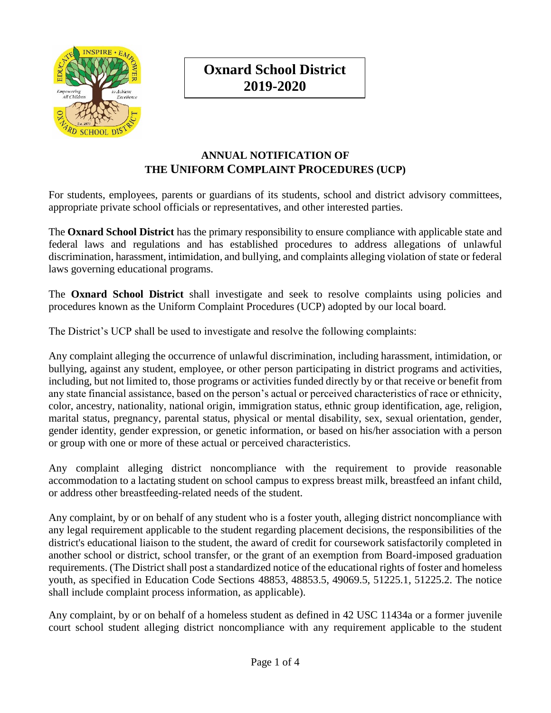

**Oxnard School District 2019-2020**

## **ANNUAL NOTIFICATION OF THE UNIFORM COMPLAINT PROCEDURES (UCP)**

For students, employees, parents or guardians of its students, school and district advisory committees, appropriate private school officials or representatives, and other interested parties.

The **Oxnard School District** has the primary responsibility to ensure compliance with applicable state and federal laws and regulations and has established procedures to address allegations of unlawful discrimination, harassment, intimidation, and bullying, and complaints alleging violation of state or federal laws governing educational programs.

The **Oxnard School District** shall investigate and seek to resolve complaints using policies and procedures known as the Uniform Complaint Procedures (UCP) adopted by our local board.

The District's UCP shall be used to investigate and resolve the following complaints:

Any complaint alleging the occurrence of unlawful discrimination, including harassment, intimidation, or bullying, against any student, employee, or other person participating in district programs and activities, including, but not limited to, those programs or activities funded directly by or that receive or benefit from any state financial assistance, based on the person's actual or perceived characteristics of race or ethnicity, color, ancestry, nationality, national origin, immigration status, ethnic group identification, age, religion, marital status, pregnancy, parental status, physical or mental disability, sex, sexual orientation, gender, gender identity, gender expression, or genetic information, or based on his/her association with a person or group with one or more of these actual or perceived characteristics.

Any complaint alleging district noncompliance with the requirement to provide reasonable accommodation to a lactating student on school campus to express breast milk, breastfeed an infant child, or address other breastfeeding-related needs of the student.

Any complaint, by or on behalf of any student who is a foster youth, alleging district noncompliance with any legal requirement applicable to the student regarding placement decisions, the responsibilities of the district's educational liaison to the student, the award of credit for coursework satisfactorily completed in another school or district, school transfer, or the grant of an exemption from Board-imposed graduation requirements. (The District shall post a standardized notice of the educational rights of foster and homeless youth, as specified in Education Code Sections 48853, 48853.5, 49069.5, 51225.1, 51225.2. The notice shall include complaint process information, as applicable).

Any complaint, by or on behalf of a homeless student as defined in 42 USC 11434a or a former juvenile court school student alleging district noncompliance with any requirement applicable to the student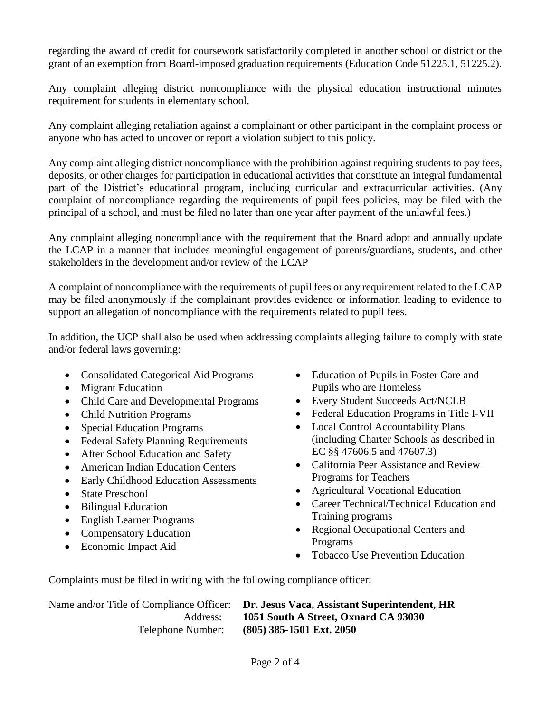regarding the award of credit for coursework satisfactorily completed in another school or district or the grant of an exemption from Board-imposed graduation requirements (Education Code 51225.1, 51225.2).

Any complaint alleging district noncompliance with the physical education instructional minutes requirement for students in elementary school.

Any complaint alleging retaliation against a complainant or other participant in the complaint process or anyone who has acted to uncover or report a violation subject to this policy.

Any complaint alleging district noncompliance with the prohibition against requiring students to pay fees, deposits, or other charges for participation in educational activities that constitute an integral fundamental part of the District's educational program, including curricular and extracurricular activities. (Any complaint of noncompliance regarding the requirements of pupil fees policies, may be filed with the principal of a school, and must be filed no later than one year after payment of the unlawful fees.)

Any complaint alleging noncompliance with the requirement that the Board adopt and annually update the LCAP in a manner that includes meaningful engagement of parents/guardians, students, and other stakeholders in the development and/or review of the LCAP

A complaint of noncompliance with the requirements of pupil fees or any requirement related to the LCAP may be filed anonymously if the complainant provides evidence or information leading to evidence to support an allegation of noncompliance with the requirements related to pupil fees.

In addition, the UCP shall also be used when addressing complaints alleging failure to comply with state and/or federal laws governing:

- Consolidated Categorical Aid Programs
- Migrant Education
- Child Care and Developmental Programs
- Child Nutrition Programs
- Special Education Programs
- Federal Safety Planning Requirements
- After School Education and Safety
- American Indian Education Centers
- Early Childhood Education Assessments
- State Preschool
- Bilingual Education
- English Learner Programs
- Compensatory Education
- Economic Impact Aid
- Education of Pupils in Foster Care and Pupils who are Homeless
- Every Student Succeeds Act/NCLB
- Federal Education Programs in Title I-VII
- Local Control Accountability Plans (including Charter Schools as described in EC §§ 47606.5 and 47607.3)
- California Peer Assistance and Review Programs for Teachers
- Agricultural Vocational Education
- Career Technical/Technical Education and Training programs
- Regional Occupational Centers and Programs
- Tobacco Use Prevention Education

Complaints must be filed in writing with the following compliance officer:

Name and/or Title of Compliance Officer: **Dr. Jesus Vaca, Assistant Superintendent, HR** Address: **1051 South A Street, Oxnard CA 93030** Telephone Number: **(805) 385-1501 Ext. 2050**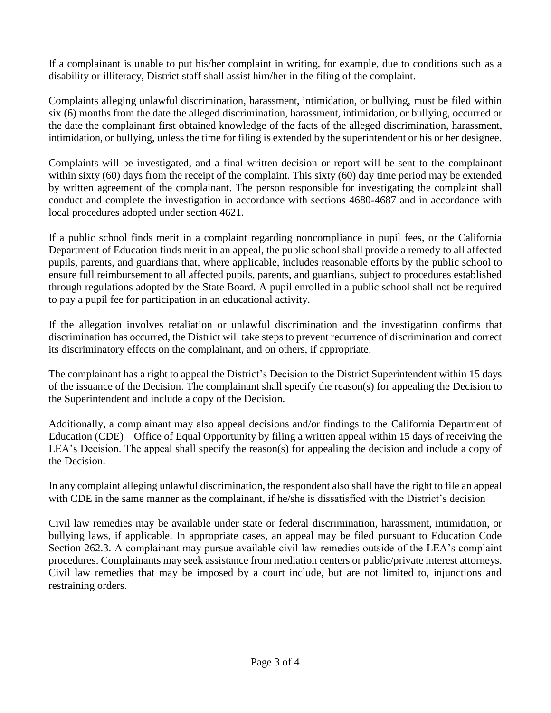If a complainant is unable to put his/her complaint in writing, for example, due to conditions such as a disability or illiteracy, District staff shall assist him/her in the filing of the complaint.

Complaints alleging unlawful discrimination, harassment, intimidation, or bullying, must be filed within six (6) months from the date the alleged discrimination, harassment, intimidation, or bullying, occurred or the date the complainant first obtained knowledge of the facts of the alleged discrimination, harassment, intimidation, or bullying, unless the time for filing is extended by the superintendent or his or her designee.

Complaints will be investigated, and a final written decision or report will be sent to the complainant within sixty (60) days from the receipt of the complaint. This sixty (60) day time period may be extended by written agreement of the complainant. The person responsible for investigating the complaint shall conduct and complete the investigation in accordance with sections 4680-4687 and in accordance with local procedures adopted under section 4621.

If a public school finds merit in a complaint regarding noncompliance in pupil fees, or the California Department of Education finds merit in an appeal, the public school shall provide a remedy to all affected pupils, parents, and guardians that, where applicable, includes reasonable efforts by the public school to ensure full reimbursement to all affected pupils, parents, and guardians, subject to procedures established through regulations adopted by the State Board. A pupil enrolled in a public school shall not be required to pay a pupil fee for participation in an educational activity.

If the allegation involves retaliation or unlawful discrimination and the investigation confirms that discrimination has occurred, the District will take steps to prevent recurrence of discrimination and correct its discriminatory effects on the complainant, and on others, if appropriate.

The complainant has a right to appeal the District's Decision to the District Superintendent within 15 days of the issuance of the Decision. The complainant shall specify the reason(s) for appealing the Decision to the Superintendent and include a copy of the Decision.

Additionally, a complainant may also appeal decisions and/or findings to the California Department of Education (CDE) – Office of Equal Opportunity by filing a written appeal within 15 days of receiving the LEA's Decision. The appeal shall specify the reason(s) for appealing the decision and include a copy of the Decision.

In any complaint alleging unlawful discrimination, the respondent also shall have the right to file an appeal with CDE in the same manner as the complainant, if he/she is dissatisfied with the District's decision

Civil law remedies may be available under state or federal discrimination, harassment, intimidation, or bullying laws, if applicable. In appropriate cases, an appeal may be filed pursuant to Education Code Section 262.3. A complainant may pursue available civil law remedies outside of the LEA's complaint procedures. Complainants may seek assistance from mediation centers or public/private interest attorneys. Civil law remedies that may be imposed by a court include, but are not limited to, injunctions and restraining orders.